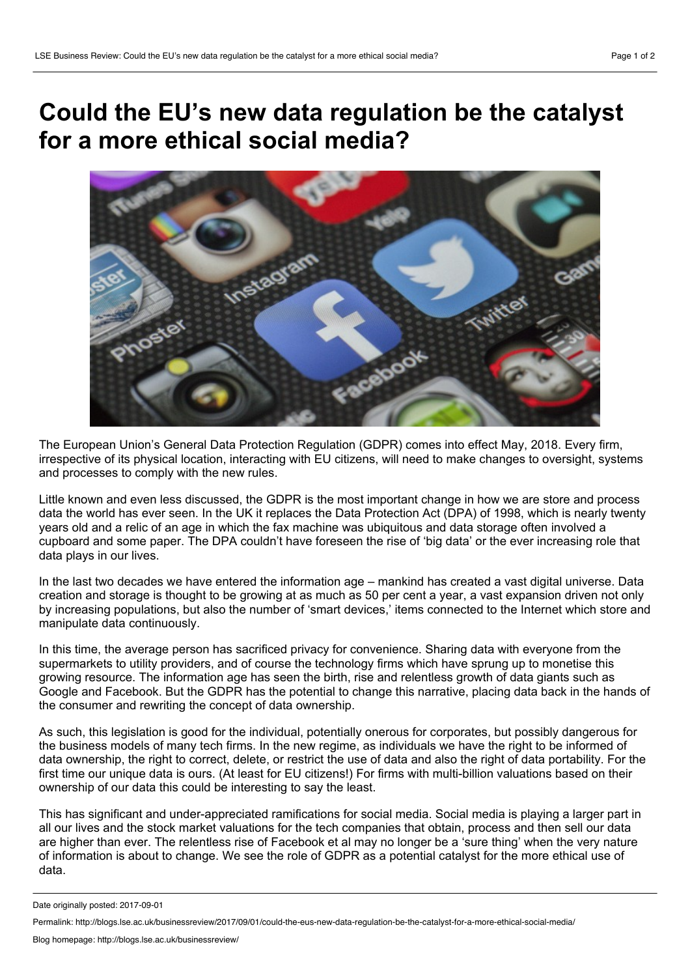## **Could the EU's new data regulation be the catalyst for a more ethical social media?**



The European Union's General Data Protection Regulation (GDPR) comes into effect May, 2018. Every firm, irrespective of its physical location, interacting with EU citizens, will need to make changes to oversight, systems and processes to comply with the new rules.

Little known and even less discussed, the GDPR is the most important change in how we are store and process data the world has ever seen. In the UK it replaces the Data Protection Act (DPA) of 1998, which is nearly twenty years old and a relic of an age in which the fax machine was ubiquitous and data storage often involved a cupboard and some paper. The DPA couldn't have foreseen the rise of 'big data' or the ever increasing role that data plays in our lives.

In the last two decades we have entered the information age – mankind has created a vast digital universe. Data creation and storage is thought to be growing at as much as 50 per cent a year, a vast expansion driven not only by increasing populations, but also the number of 'smart devices,' items connected to the Internet which store and manipulate data continuously.

In this time, the average person has sacrificed privacy for convenience. Sharing data with everyone from the supermarkets to utility providers, and of course the technology firms which have sprung up to monetise this growing resource. The information age has seen the birth, rise and relentless growth of data giants such as Google and Facebook. But the GDPR has the potential to change this narrative, placing data back in the hands of the consumer and rewriting the concept of data ownership.

As such, this legislation is good for the individual, potentially onerous for corporates, but possibly dangerous for the business models of many tech firms. In the new regime, as individuals we have the right to be informed of data ownership, the right to correct, delete, or restrict the use of data and also the right of data portability. For the first time our unique data is ours. (At least for EU citizens!) For firms with multi-billion valuations based on their ownership of our data this could be interesting to say the least.

This has significant and under-appreciated ramifications for social media. Social media is playing a larger part in all our lives and the stock market valuations for the tech companies that obtain, process and then sell our data are higher than ever. The relentless rise of Facebook et al may no longer be a 'sure thing' when the very nature of information is about to change. We see the role of GDPR as a potential catalyst for the more ethical use of data.

Date originally posted: 2017-09-01

Permalink: http://blogs.lse.ac.uk/businessreview/2017/09/01/could-the-eus-new-data-regulation-be-the-catalyst-for-a-more-ethical-social-media/